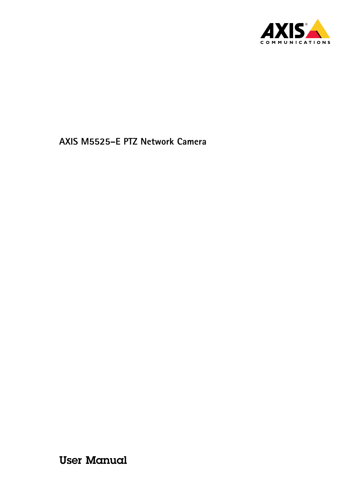

User Manual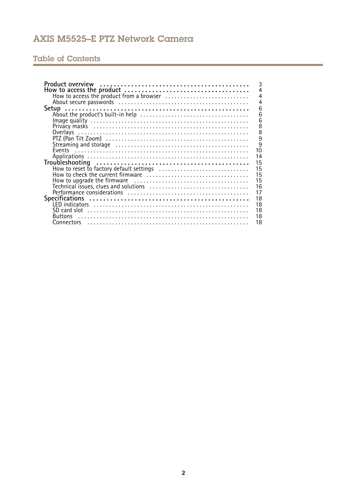# Table of Contents

|                                                | 3              |
|------------------------------------------------|----------------|
|                                                | $\overline{4}$ |
|                                                | $\overline{4}$ |
|                                                | $\overline{4}$ |
|                                                | 6              |
|                                                | 6              |
|                                                | 6              |
|                                                | 8              |
|                                                | $\overline{8}$ |
|                                                | $\overline{9}$ |
|                                                | $\overline{9}$ |
|                                                |                |
| 10                                             |                |
| 14                                             |                |
| 15                                             |                |
| 15<br>How to reset to factory default settings |                |
| 15                                             |                |
| 15                                             |                |
| 16                                             |                |
| 17                                             |                |
| 18                                             |                |
| 18                                             |                |
| 18                                             |                |
| 18                                             |                |
|                                                |                |
| 18                                             |                |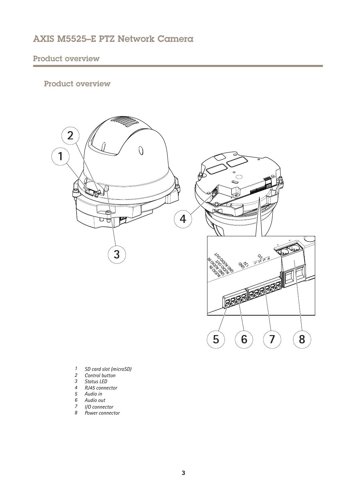# <span id="page-2-0"></span>Product overview

# Product overview



- *1 SD card slot (microSD)*
- *2 Control button*
- *3 Status LED*
- *4 RJ45 connector*
- *5 Audio in*
- *6 Audio out*
- *7 I/O connector 8 Power connector*
-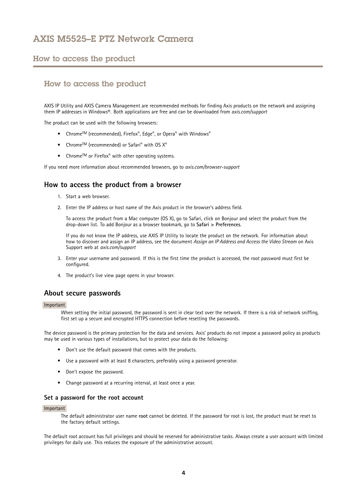## <span id="page-3-0"></span>How to access the product

# How to access the product

AXIS IP Utility and AXIS Camera Management are recommended methods for finding Axis products on the network and assigning them IP addresses in Windows®. Both applications are free and can be downloaded from *axis.com/support*

The product can be used with the following browsers:

- Chrome $^{TM}$  (recommended), Firefox®, Edge®, or Opera® with Windows®
- Chrome<sup>IM</sup> (recommended) or Safari<sup>®</sup> with OS  $X^{\circ}$
- Chrome<sup>IM</sup> or Firefox<sup>®</sup> with other operating systems.

If you need more information about recommended browsers, go to *axis.com/browser-support*

## **How to access the product from <sup>a</sup> browser**

- 1. Start <sup>a</sup> web browser.
- 2. Enter the IP address or host name of the Axis product in the browser's address field.

To access the product from <sup>a</sup> Mac computer (OS X), go to Safari, click on Bonjour and select the product from the drop-down list. To add Bonjour as <sup>a</sup> browser bookmark, go to **Safari <sup>&</sup>gt; Preferences**.

If you do not know the IP address, use AXIS IP Utility to locate the product on the network. For information about how to discover and assign an IP address, see the document *Assign an IP Address and Access the Video Stream* on Axis Support web at *axis.com/support*

- 3. Enter your username and password. If this is the first time the product is accessed, the root password must first be configured.
- 4. The product's live view page opens in your browser.

### **About secure passwords**

#### Important

When setting the initial password, the password is sent in clear text over the network. If there is <sup>a</sup> risk of network sniffing, first set up <sup>a</sup> secure and encrypted HTTPS connection before resetting the passwords.

The device password is the primary protection for the data and services. Axis' products do not impose <sup>a</sup> password policy as products may be used in various types of installations, but to protect your data do the following:

- Don't use the default password that comes with the products.
- Use <sup>a</sup> password with at least 8 characters, preferably using <sup>a</sup> password generator.
- Don't expose the password.
- Change password at <sup>a</sup> recurring interval, at least once <sup>a</sup> year.

### **Set <sup>a</sup> password for the root account**

#### Important

The default administrator user name **root** cannot be deleted. If the password for root is lost, the product must be reset to the factory default settings.

The default root account has full privileges and should be reserved for administrative tasks. Always create <sup>a</sup> user account with limited privileges for daily use. This reduces the exposure of the administrative account.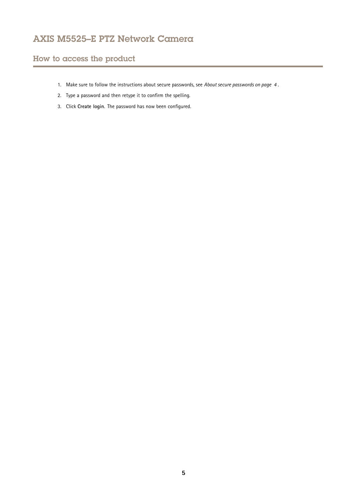# How to access the product

- 1. Make sure to follow the instructions about secure passwords, see *About secure [passwords](#page-3-0) on page [4](#page-3-0)* .
- 2. Type <sup>a</sup> password and then retype it to confirm the spelling.
- 3. Click **Create login**. The password has now been configured.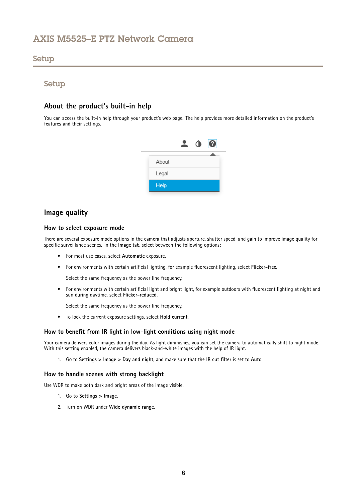## <span id="page-5-0"></span>Setup

## Setup

# **About the product's built-in help**

You can access the built-in help through your product's web page. The help provides more detailed information on the product's features and their settings.



## **Image quality**

### **How to select exposure mode**

There are several exposure mode options in the camera that adjusts aperture, shutter speed, and gain to improve image quality for specific surveillance scenes. In the **Image** tab, select between the following options:

- For most use cases, select **Automatic** exposure.
- For environments with certain artificial lighting, for example fluorescent lighting, select **Flicker-free**.

Select the same frequency as the power line frequency.

• For environments with certain artificial light and bright light, for example outdoors with fluorescent lighting at night and sun during daytime, select **Flicker-reduced**.

Select the same frequency as the power line frequency.

• To lock the current exposure settings, select **Hold current**.

### **How to benefit from IR light in low-light conditions using night mode**

Your camera delivers color images during the day. As light diminishes, you can set the camera to automatically shift to night mode. With this setting enabled, the camera delivers black-and-white images with the help of IR light.

1. Go to **Settings <sup>&</sup>gt; Image <sup>&</sup>gt; Day and night**, and make sure that the **IR cut filter** is set to **Auto**.

#### **How to handle scenes with strong backlight**

Use WDR to make both dark and bright areas of the image visible.

- 1. Go to **Settings <sup>&</sup>gt; Image**.
- 2. Turn on WDR under **Wide dynamic range**.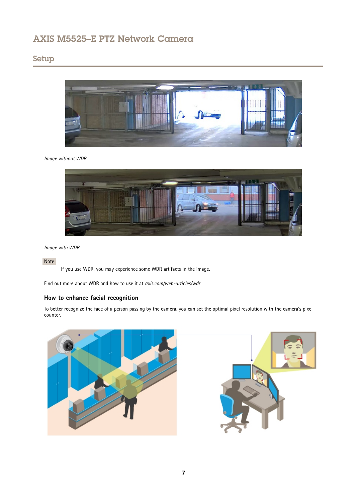# Setup



### *Image without WDR.*



*Image with WDR.*

## Note

If you use WDR, you may experience some WDR artifacts in the image.

Find out more about WDR and how to use it at *axis.com/web-articles/wdr*

## **How to enhance facial recognition**

To better recognize the face of <sup>a</sup> person passing by the camera, you can set the optimal pixel resolution with the camera's pixel counter.

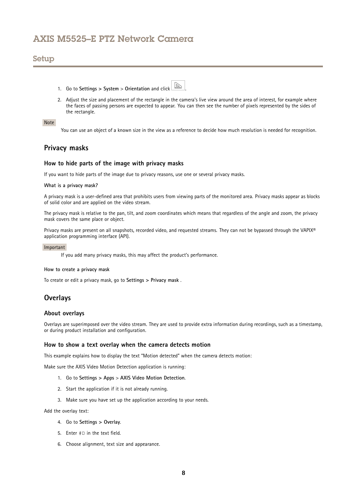## <span id="page-7-0"></span>Setup

1. Go to **Settings <sup>&</sup>gt; System** <sup>&</sup>gt; **Orientation** and click .



2. Adjust the size and placement of the rectangle in the camera's live view around the area of interest, for example where the faces of passing persons are expected to appear. You can then see the number of pixels represented by the sides of the rectangle.

### Note

You can use an object of <sup>a</sup> known size in the view as <sup>a</sup> reference to decide how much resolution is needed for recognition.

## **Privacy masks**

### **How to hide parts of the image with privacy masks**

If you want to hide parts of the image due to privacy reasons, use one or several privacy masks.

#### **What is <sup>a</sup> privacy mask?**

A privacy mask is <sup>a</sup> user-defined area that prohibits users from viewing parts of the monitored area. Privacy masks appear as blocks of solid color and are applied on the video stream.

The privacy mask is relative to the pan, tilt, and zoom coordinates which means that regardless of the angle and zoom, the privacy mask covers the same place or object.

Privacy masks are present on all snapshots, recorded video, and requested streams. They can not be bypassed through the VAPIX® application programming interface (API).

#### Important

If you add many privacy masks, this may affect the product's performance.

#### **How to create <sup>a</sup> privacy mask**

To create or edit <sup>a</sup> privacy mask, go to **Settings <sup>&</sup>gt; Privacy mask** .

## **Overlays**

#### **About overlays**

Overlays are superimposed over the video stream. They are used to provide extra information during recordings, such as <sup>a</sup> timestamp, or during product installation and configuration.

## **How to show <sup>a</sup> text overlay when the camera detects motion**

This example explains how to display the text "Motion detected" when the camera detects motion:

Make sure the AXIS Video Motion Detection application is running:

- 1. Go to **Settings <sup>&</sup>gt; Apps** <sup>&</sup>gt; **AXIS Video Motion Detection**.
- 2. Start the application if it is not already running.
- 3. Make sure you have set up the application according to your needs.

Add the overlay text:

- 4. Go to **Settings <sup>&</sup>gt; Overlay**.
- 5. Enter #D in the text field.
- 6. Choose alignment, text size and appearance.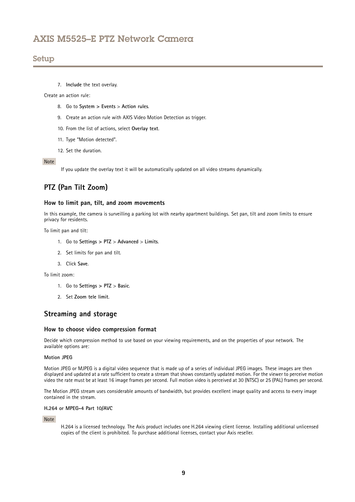<span id="page-8-0"></span>7. **Include** the text overlay.

Create an action rule:

- 8. Go to **System <sup>&</sup>gt; Events** <sup>&</sup>gt; **Action rules**.
- 9. Create an action rule with AXIS Video Motion Detection as trigger.
- 10. From the list of actions, select **Overlay text**.
- 11. Type "Motion detected".
- 12. Set the duration.

#### Note

If you update the overlay text it will be automatically updated on all video streams dynamically.

# **PTZ (Pan Tilt Zoom)**

### **How to limit pan, tilt, and zoom movements**

In this example, the camera is surveilling <sup>a</sup> parking lot with nearby apartment buildings. Set pan, tilt and zoom limits to ensure privacy for residents.

To limit pan and tilt:

- 1. Go to **Settings <sup>&</sup>gt; PTZ** <sup>&</sup>gt; **Advanced** <sup>&</sup>gt; **Limits**.
- 2. Set limits for pan and tilt.
- 3. Click **Save**.

To limit zoom:

- 1. Go to **Settings <sup>&</sup>gt; PTZ** <sup>&</sup>gt; **Basic**.
- 2. Set **Zoom tele limit**.

## **Streaming and storage**

#### **How to choose video compression format**

Decide which compression method to use based on your viewing requirements, and on the properties of your network. The available options are:

#### **Motion JPEG**

Motion JPEG or MJPEG is <sup>a</sup> digital video sequence that is made up of <sup>a</sup> series of individual JPEG images. These images are then displayed and updated at <sup>a</sup> rate sufficient to create <sup>a</sup> stream that shows constantly updated motion. For the viewer to perceive motion video the rate must be at least <sup>16</sup> image frames per second. Full motion video is perceived at <sup>30</sup> (NTSC) or <sup>25</sup> (PAL) frames per second.

The Motion JPEG stream uses considerable amounts of bandwidth, but provides excellent image quality and access to every image contained in the stream.

#### **H.264 or MPEG-4 Part 10/AVC**

Note

H.264 is <sup>a</sup> licensed technology. The Axis product includes one H.264 viewing client license. Installing additional unlicensed copies of the client is prohibited. To purchase additional licenses, contact your Axis reseller.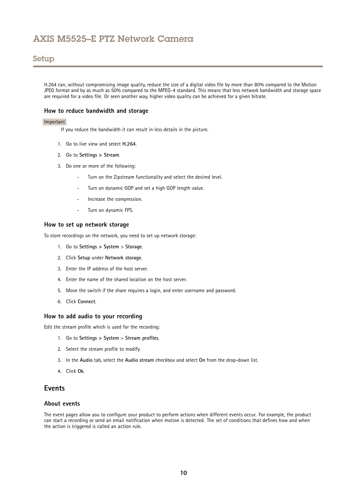## <span id="page-9-0"></span>Setup

H.264 can, without compromising image quality, reduce the size of <sup>a</sup> digital video file by more than 80% compared to the Motion JPEG format and by as much as 50% compared to the MPEG-4 standard. This means that less network bandwidth and storage space are required for <sup>a</sup> video file. Or seen another way, higher video quality can be achieved for <sup>a</sup> given bitrate.

### **How to reduce bandwidth and storage**

#### Important

If you reduce the bandwidth it can result in less details in the picture.

- 1. Go to live view and select **H.264**.
- 2. Go to **Settings <sup>&</sup>gt; Stream**.
- 3. Do one or more of the following:
	- -Turn on the Zipstream functionality and select the desired level.
	- -Turn on dynamic GOP and set <sup>a</sup> high GOP length value.
	- Increase the compression.
	- -Turn on dynamic FPS.

### **How to set up network storage**

To store recordings on the network, you need to set up network storage:

- 1. Go to **Settings <sup>&</sup>gt; System** <sup>&</sup>gt; **Storage**.
- 2. Click **Setup** under **Network storage**.
- 3. Enter the IP address of the host server.
- 4. Enter the name of the shared location on the host server.
- 5. Move the switch if the share requires <sup>a</sup> login, and enter username and password.
- 6. Click **Connect**.

#### **How to add audio to your recording**

Edit the stream profile which is used for the recording:

- 1. Go to **Settings <sup>&</sup>gt; System** <sup>&</sup>gt; **Stream profiles**.
- 2. Select the stream profile to modify.
- 3. In the **Audio** tab, select the **Audio stream** checkbox and select **On** from the drop-down list.
- 4. Click **Ok**.

# **Events**

### **About events**

The event pages allow you to configure your product to perform actions when different events occur. For example, the product can start <sup>a</sup> recording or send an email notification when motion is detected. The set of conditions that defines how and when the action is triggered is called an action rule.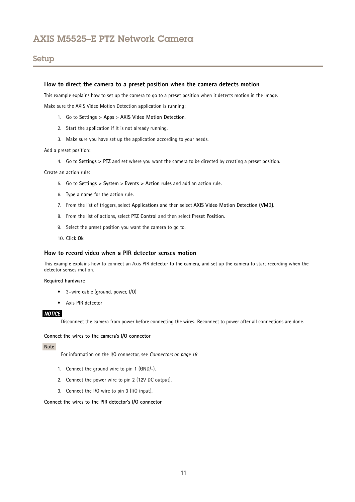#### **How to direct the camera to <sup>a</sup> preset position when the camera detects motion**

This example explains how to set up the camera to go to <sup>a</sup> preset position when it detects motion in the image.

Make sure the AXIS Video Motion Detection application is running:

- 1. Go to **Settings <sup>&</sup>gt; Apps** <sup>&</sup>gt; **AXIS Video Motion Detection**.
- 2. Start the application if it is not already running.
- 3. Make sure you have set up the application according to your needs.

#### Add <sup>a</sup> preset position:

4. Go to **Settings <sup>&</sup>gt; PTZ** and set where you want the camera to be directed by creating <sup>a</sup> preset position.

Create an action rule:

- 5. Go to **Settings <sup>&</sup>gt; System** <sup>&</sup>gt; **Events <sup>&</sup>gt; Action rules** and add an action rule.
- 6. Type <sup>a</sup> name for the action rule.
- 7. From the list of triggers, select **Applications** and then select **AXIS Video Motion Detection (VMD)**.
- 8. From the list of actions, select **PTZ Control** and then select **Preset Position**.
- 9. Select the preset position you want the camera to go to.
- 10. Click **Ok**.

#### **How to record video when a PIR detector senses motion**

This example explains how to connect an Axis PIR detector to the camera, and set up the camera to start recording when the detector senses motion.

#### **Required hardware**

- 3–wire cable (ground, power, I/O)
- Axis PIR detector

#### *NOTICE*

Disconnect the camera from power before connecting the wires. Reconnect to power after all connections are done.

### **Connect the wires to the camera's I/O connector**

#### Note

For information on the I/O connector, see *[Connectors](#page-17-0) on page [18](#page-17-0)*

- 1. Connect the ground wire to pin <sup>1</sup> (GND/-).
- 2. Connect the power wire to pin <sup>2</sup> (12V DC output).
- 3. Connect the I/O wire to pin <sup>3</sup> (I/O input).

### **Connect the wires to the PIR detector's I/O connector**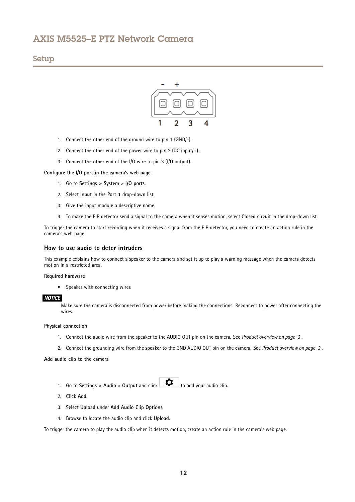## Setup



- 1. Connect the other end of the ground wire to pin <sup>1</sup> (GND/-).
- 2. Connect the other end of the power wire to pin 2 (DC input/ $+$ ).
- 3. Connect the other end of the I/O wire to pin <sup>3</sup> (I/O output).

**Configure the I/O port in the camera's web page**

- 1. Go to **Settings <sup>&</sup>gt; System** <sup>&</sup>gt; **I/O ports**.
- 2. Select **Input** in the **Port <sup>1</sup>** drop-down list.
- 3. Give the input module <sup>a</sup> descriptive name.
- 4. To make the PIR detector send <sup>a</sup> signal to the camera when it senses motion, select **Closed circuit** in the drop-down list.

To trigger the camera to start recording when it receives <sup>a</sup> signal from the PIR detector, you need to create an action rule in the camera's web page.

#### **How to use audio to deter intruders**

This example explains how to connect <sup>a</sup> speaker to the camera and set it up to play <sup>a</sup> warning message when the camera detects motion in a restricted area.

#### **Required hardware**

• Speaker with connecting wires

### *NOTICE*

Make sure the camera is disconnected from power before making the connections. Reconnect to power after connecting the wires.

#### **Physical connection**

- 1. Connect the audio wire from the speaker to the AUDIO OUT pin on the camera. See *Product [overview](#page-2-0) on page [3](#page-2-0)* .
- 2. Connect the grounding wire from the speaker to the GND AUDIO OUT pin on the camera. See *Product [overview](#page-2-0) on page [3](#page-2-0)* .

#### **Add audio clip to the camera**

- 1. Go to **Settings > Audio** > Output and click  $\begin{bmatrix} \begin{array}{c} \bullet \end{array} \\ \bullet \end{bmatrix}$  to add your audio clip.
- 2. Click **Add**.
- 3. Select **Upload** under **Add Audio Clip Options**.
- 4. Browse to locate the audio clip and click **Upload**.

To trigger the camera to play the audio clip when it detects motion, create an action rule in the camera's web page.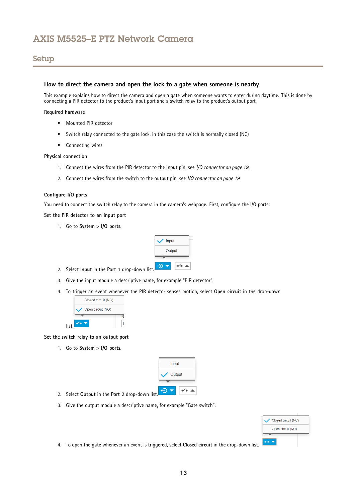## **How to direct the camera and open the lock to <sup>a</sup> gate when someone is nearby**

This example explains how to direct the camera and open <sup>a</sup> gate when someone wants to enter during daytime. This is done by connecting <sup>a</sup> PIR detector to the product's input port and <sup>a</sup> switch relay to the product's output port.

#### **Required hardware**

- Mounted PIR detector
- Switch relay connected to the gate lock, in this case the switch is normally closed (NC)
- Connecting wires

#### **Physical connection**

- 1. Connect the wires from the PIR detector to the input pin, see *I/O [connector](#page-18-0) on page [19](#page-18-0)*.
- 2. Connect the wires from the switch to the output pin, see *I/O [connector](#page-18-0) on page [19](#page-18-0)*

### **Configure I/O ports**

You need to connect the switch relay to the camera in the camera's webpage. First, configure the I/O ports:

#### **Set the PIR detector to an input port**

1. Go to **System** <sup>&</sup>gt; **I/O ports**.



- 2. Select **Input** in the **Port <sup>1</sup>** drop-down list.
- 3. Give the input module <sup>a</sup> descriptive name, for example "PIR detector".
- 4. To trigger an event whenever the PIR detector senses motion, select **Open circuit** in the drop-down



**Set the switch relay to an output port**

1. Go to **System** <sup>&</sup>gt; **I/O ports**.

|      | Input  |
|------|--------|
|      | Output |
|      |        |
| ist. |        |

- 2. Select Output in the Port 2 drop-down li
- 3. Give the output module <sup>a</sup> descriptive name, for example "Gate switch".

| Closed circuit (NC) |
|---------------------|
| Open circuit (NO)   |
|                     |

4. To open the gate whenever an event is triggered, select **Closed circuit** in the drop-down list.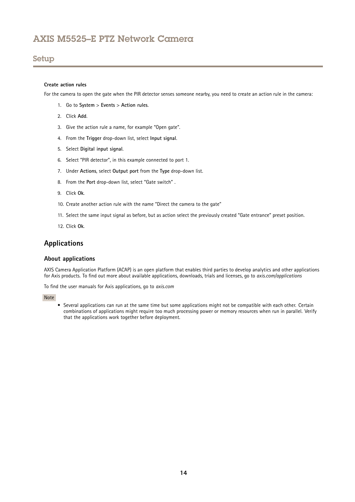### <span id="page-13-0"></span>**Create action rules**

For the camera to open the gate when the PIR detector senses someone nearby, you need to create an action rule in the camera:

- 1. Go to **System** <sup>&</sup>gt; **Events** <sup>&</sup>gt; **Action rules**.
- 2. Click **Add**.
- 3. Give the action rule <sup>a</sup> name, for example "Open gate".
- 4. From the **Trigger** drop-down list, select **Input signal**.
- 5. Select **Digital input signal**.
- 6. Select "PIR detector", in this example connected to port 1.
- 7. Under **Actions**, select **Output port** from the **Type** drop-down list.
- 8. From the **Port** drop-down list, select "Gate switch" .
- 9. Click **Ok**.
- 10. Create another action rule with the name "Direct the camera to the gate"
- 11. Select the same input signal as before, but as action select the previously created "Gate entrance" preset position.
- 12. Click **Ok**.

## **Applications**

### **About applications**

AXIS Camera Application Platform (ACAP) is an open platform that enables third parties to develop analytics and other applications for Axis products. To find out more about available applications, downloads, trials and licenses, go to *axis.com/applications*

To find the user manuals for Axis applications, go to *axis.com*

#### Note

• Several applications can run at the same time but some applications might not be compatible with each other. Certain combinations of applications might require too much processing power or memory resources when run in parallel. Verify that the applications work together before deployment.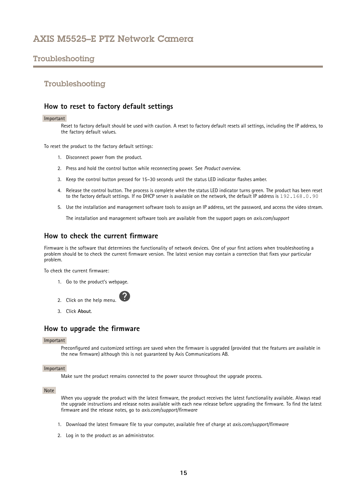# <span id="page-14-0"></span>Troubleshooting

## Troubleshooting

## **How to reset to factory default settings**

#### Important

Reset to factory default should be used with caution. A reset to factory default resets all settings, including the IP address, to the factory default values.

To reset the product to the factory default settings:

- 1. Disconnect power from the product.
- 2. Press and hold the control button while reconnecting power. See *Product [overview](#page-2-0)*.
- 3. Keep the control button pressed for 15–30 seconds until the status LED indicator flashes amber.
- 4. Release the control button. The process is complete when the status LED indicator turns green. The product has been reset to the factory default settings. If no DHCP server is available on the network, the default IP address is 192.168.0.90
- 5. Use the installation and management software tools to assign an IP address, set the password, and access the video stream.

The installation and management software tools are available from the support pages on *axis.com/support*

## **How to check the current firmware**

Firmware is the software that determines the functionality of network devices. One of your first actions when troubleshooting <sup>a</sup> problem should be to check the current firmware version. The latest version may contain <sup>a</sup> correction that fixes your particular problem.

To check the current firmware:

- 1. Go to the product's webpage.
- 2. Click on the help menu.
- 3. Click **About**.

## **How to upgrade the firmware**

#### Important

Preconfigured and customized settings are saved when the firmware is upgraded (provided that the features are available in the new firmware) although this is not guaranteed by Axis Communications AB.

### Important

Make sure the product remains connected to the power source throughout the upgrade process.

### Note

When you upgrade the product with the latest firmware, the product receives the latest functionality available. Always read the upgrade instructions and release notes available with each new release before upgrading the firmware. To find the latest firmware and the release notes, go to *axis.com/support/firmware*

- 1. Download the latest firmware file to your computer, available free of charge at *axis.com/support/firmware*
- 2. Log in to the product as an administrator.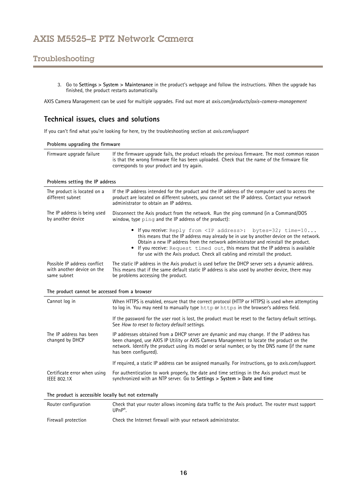# <span id="page-15-0"></span>Troubleshooting

3. Go to **Settings <sup>&</sup>gt; System <sup>&</sup>gt; Maintenance** in the product's webpage and follow the instructions. When the upgrade has finished, the product restarts automatically.

AXIS Camera Management can be used for multiple upgrades. Find out more at *axis.com/products/axis-camera-management*

## **Technical issues, clues and solutions**

If you can't find what you're looking for here, try the troubleshooting section at *axis.com/support*

| Problems upgrading the firmware |                                                                                                                                                                                                                                               |  |
|---------------------------------|-----------------------------------------------------------------------------------------------------------------------------------------------------------------------------------------------------------------------------------------------|--|
| Firmware upgrade failure        | If the firmware upgrade fails, the product reloads the previous firmware. The most common reason<br>is that the wrong firmware file has been uploaded. Check that the name of the firmware file<br>corresponds to your product and try again. |  |

#### **Problems setting the IP address**

| The product is located on a<br>different subnet | If the IP address intended for the product and the IP address of the computer used to access the<br>product are located on different subnets, you cannot set the IP address. Contact your network<br>administrator to obtain an IP address.                                                                                                                                                                                |  |  |
|-------------------------------------------------|----------------------------------------------------------------------------------------------------------------------------------------------------------------------------------------------------------------------------------------------------------------------------------------------------------------------------------------------------------------------------------------------------------------------------|--|--|
| The IP address is being used                    | Disconnect the Axis product from the network. Run the ping command (in a Command/DOS                                                                                                                                                                                                                                                                                                                                       |  |  |
| by another device                               | window, type ping and the IP address of the product):                                                                                                                                                                                                                                                                                                                                                                      |  |  |
|                                                 | • If you receive: Reply from <ip address="">: bytes=32; time=10<br/>this means that the IP address may already be in use by another device on the network.<br/>Obtain a new IP address from the network administrator and reinstall the product.<br/>• If you receive: Request timed out, this means that the IP address is available<br/>for use with the Axis product. Check all cabling and reinstall the product.</ip> |  |  |
| Possible IP address conflict                    | The static IP address in the Axis product is used before the DHCP server sets a dynamic address.                                                                                                                                                                                                                                                                                                                           |  |  |
| with another device on the                      | This means that if the same default static IP address is also used by another device, there may                                                                                                                                                                                                                                                                                                                            |  |  |
| same subnet                                     | be problems accessing the product.                                                                                                                                                                                                                                                                                                                                                                                         |  |  |

# **The product cannot be accessed from <sup>a</sup> browser**

| Cannot log in                                        | When HTTPS is enabled, ensure that the correct protocol (HTTP or HTTPS) is used when attempting<br>to log in. You may need to manually type http or https in the browser's address field.                                                                                                                          |  |
|------------------------------------------------------|--------------------------------------------------------------------------------------------------------------------------------------------------------------------------------------------------------------------------------------------------------------------------------------------------------------------|--|
|                                                      | If the password for the user root is lost, the product must be reset to the factory default settings.<br>See How to reset to factory default settings.                                                                                                                                                             |  |
| The IP address has been<br>changed by DHCP           | IP addresses obtained from a DHCP server are dynamic and may change. If the IP address has<br>been changed, use AXIS IP Utility or AXIS Camera Management to locate the product on the<br>network. Identify the product using its model or serial number, or by the DNS name (if the name<br>has been configured). |  |
|                                                      | If required, a static IP address can be assigned manually. For instructions, go to <i>axis.com/support.</i>                                                                                                                                                                                                        |  |
| Certificate error when using<br><b>IEEE 802.1X</b>   | For authentication to work properly, the date and time settings in the Axis product must be<br>synchronized with an NTP server. Go to Settings > System > Date and time                                                                                                                                            |  |
| The product is accessible locally but not externally |                                                                                                                                                                                                                                                                                                                    |  |
|                                                      |                                                                                                                                                                                                                                                                                                                    |  |

| Router configuration | Check that your router allows incoming data traffic to the Axis product. The router must support<br>$UPnP^*$ |
|----------------------|--------------------------------------------------------------------------------------------------------------|
| Firewall protection  | Check the Internet firewall with your network administrator.                                                 |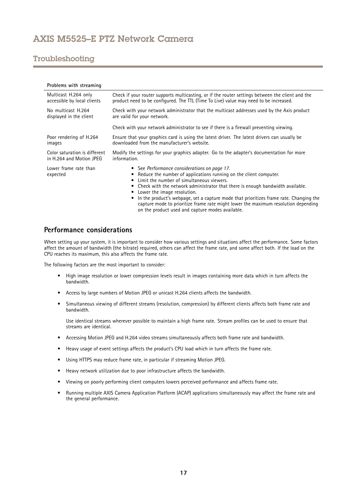# <span id="page-16-0"></span>Troubleshooting

| Problems with streaming           |                                                                                                                                                                                                                                                                                                                                                                                                                                                                 |  |  |
|-----------------------------------|-----------------------------------------------------------------------------------------------------------------------------------------------------------------------------------------------------------------------------------------------------------------------------------------------------------------------------------------------------------------------------------------------------------------------------------------------------------------|--|--|
| Multicast H.264 only              | Check if your router supports multicasting, or if the router settings between the client and the                                                                                                                                                                                                                                                                                                                                                                |  |  |
| accessible by local clients       | product need to be configured. The TTL (Time To Live) value may need to be increased.                                                                                                                                                                                                                                                                                                                                                                           |  |  |
| No multicast H.264                | Check with your network administrator that the multicast addresses used by the Axis product                                                                                                                                                                                                                                                                                                                                                                     |  |  |
| displayed in the client           | are valid for your network.                                                                                                                                                                                                                                                                                                                                                                                                                                     |  |  |
|                                   | Check with your network administrator to see if there is a firewall preventing viewing.                                                                                                                                                                                                                                                                                                                                                                         |  |  |
| Poor rendering of H.264           | Ensure that your graphics card is using the latest driver. The latest drivers can usually be                                                                                                                                                                                                                                                                                                                                                                    |  |  |
| images                            | downloaded from the manufacturer's website.                                                                                                                                                                                                                                                                                                                                                                                                                     |  |  |
| Color saturation is different     | Modify the settings for your graphics adapter. Go to the adapter's documentation for more                                                                                                                                                                                                                                                                                                                                                                       |  |  |
| in H.264 and Motion JPEG          | information.                                                                                                                                                                                                                                                                                                                                                                                                                                                    |  |  |
| Lower frame rate than<br>expected | • See Performance considerations on page 17.<br>Reduce the number of applications running on the client computer.<br>Limit the number of simultaneous viewers.<br>Check with the network administrator that there is enough bandwidth available.<br>Lower the image resolution.<br>In the product's webpage, set a capture mode that prioritizes frame rate. Changing the<br>capture mode to prioritize frame rate might lower the maximum resolution depending |  |  |

# **Performance considerations**

When setting up your system, it is important to consider how various settings and situations affect the performance. Some factors affect the amount of bandwidth (the bitrate) required, others can affect the frame rate, and some affect both. If the load on the CPU reaches its maximum, this also affects the frame rate.

on the product used and capture modes available.

The following factors are the most important to consider:

- High image resolution or lower compression levels result in images containing more data which in turn affects the bandwidth.
- •Access by large numbers of Motion JPEG or unicast H.264 clients affects the bandwidth.
- • Simultaneous viewing of different streams (resolution, compression) by different clients affects both frame rate and bandwidth.

Use identical streams wherever possible to maintain <sup>a</sup> high frame rate. Stream profiles can be used to ensure that streams are identical.

- Accessing Motion JPEG and H.264 video streams simultaneously affects both frame rate and bandwidth.
- Heavy usage of event settings affects the product's CPU load which in turn affects the frame rate.
- •Using HTTPS may reduce frame rate, in particular if streaming Motion JPEG.
- $\bullet$ Heavy network utilization due to poor infrastructure affects the bandwidth.
- •Viewing on poorly performing client computers lowers perceived performance and affects frame rate.
- • Running multiple AXIS Camera Application Platform (ACAP) applications simultaneously may affect the frame rate and the general performance.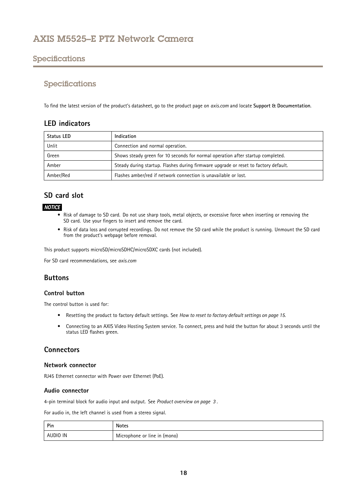# <span id="page-17-0"></span>Specifications

# Specifications

To find the latest version of the product's datasheet, go to the product page on *axis.com* and locate **Support & Documentation**.

# **LED indicators**

| Status LED | Indication                                                                          |  |
|------------|-------------------------------------------------------------------------------------|--|
| Unlit      | Connection and normal operation.                                                    |  |
| Green      | Shows steady green for 10 seconds for normal operation after startup completed.     |  |
| Amber      | Steady during startup. Flashes during firmware upgrade or reset to factory default. |  |
| Amber/Red  | Flashes amber/red if network connection is unavailable or lost.                     |  |

# **SD card slot**

## *NOTICE*

- Risk of damage to SD card. Do not use sharp tools, metal objects, or excessive force when inserting or removing the SD card. Use your fingers to insert and remove the card.
- Risk of data loss and corrupted recordings. Do not remove the SD card while the product is running. Unmount the SD card from the product's webpage before removal.

This product supports microSD/microSDHC/microSDXC cards (not included).

For SD card recommendations, see *axis.com*

# **Buttons**

### **Control button**

The control button is used for:

- Resetting the product to factory default settings. See *How to reset to factory default [settings](#page-14-0) on page [15](#page-14-0)*.
- • Connecting to an AXIS Video Hosting System service. To connect, press and hold the button for about 3 seconds until the status LED flashes green.

# **Connectors**

### **Network connector**

RJ45 Ethernet connector with Power over Ethernet (PoE).

### **Audio connector**

4-pin terminal block for audio input and output. See *Product [overview](#page-2-0) on page [3](#page-2-0)* .

For audio in, the left channel is used from <sup>a</sup> stereo signal.

| Pin      | Notes                        |
|----------|------------------------------|
| AUDIO IN | Microphone or line in (mono) |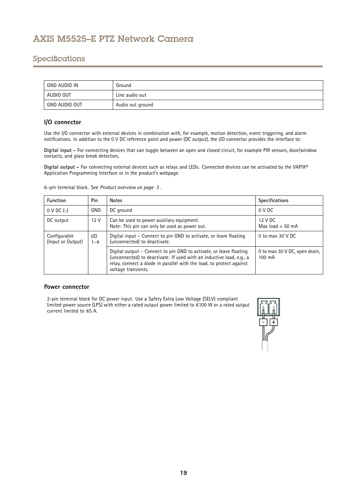# <span id="page-18-0"></span>Specifications

| GND AUDIO IN  | Ground           |
|---------------|------------------|
| AUDIO OUT     | Line audio out   |
| GND AUDIO OUT | Audio out ground |

## **I/O connector**

Use the I/O connector with external devices in combination with, for example, motion detection, event triggering, and alarm notifications. In addition to the <sup>0</sup> V DC reference point and power (DC output), the I/O connector provides the interface to:

**Digital input -** For connecting devices that can toggle between an open and closed circuit, for example PIR sensors, door/window contacts, and glass break detectors.

**Digital output -** For connecting external devices such as relays and LEDs. Connected devices can be activated by the VAPIX® Application Programming Interface or in the product's webpage.

6–pin terminal block. See *Product [overview](#page-2-0) on page [3](#page-2-0)* .

| <b>Function</b>                   | Pin             | <b>Notes</b>                                                                                                                                                                                                                              | <b>Specifications</b>                   |
|-----------------------------------|-----------------|-------------------------------------------------------------------------------------------------------------------------------------------------------------------------------------------------------------------------------------------|-----------------------------------------|
| $0 \vee DC$ (-)                   | GND             | DC ground                                                                                                                                                                                                                                 | 0 VDC                                   |
| DC output                         | 12 <sup>V</sup> | Can be used to power auxiliary equipment.<br>Note: This pin can only be used as power out.                                                                                                                                                | 12 V DC<br>Max $load = 50$ mA           |
| Configurable<br>(Input or Output) | 1/O<br>$1 - 4$  | Digital input - Connect to pin GND to activate, or leave floating<br>(unconnected) to deactivate.                                                                                                                                         | 0 to max $30$ V DC                      |
|                                   |                 | Digital output – Connect to pin GND to activate, or leave floating<br>(unconnected) to deactivate. If used with an inductive load, e.g., a<br>relay, connect a diode in parallel with the load, to protect against<br>voltage transients. | 0 to max 30 V DC, open drain,<br>100 mA |

### **Power connector**

2-pin terminal block for DC power input. Use <sup>a</sup> Safety Extra Low Voltage (SELV) compliant limited power source (LPS) with either <sup>a</sup> rated output power limited to <sup>≤</sup><sup>100</sup> W or <sup>a</sup> rated output current limited to ≤5 A.